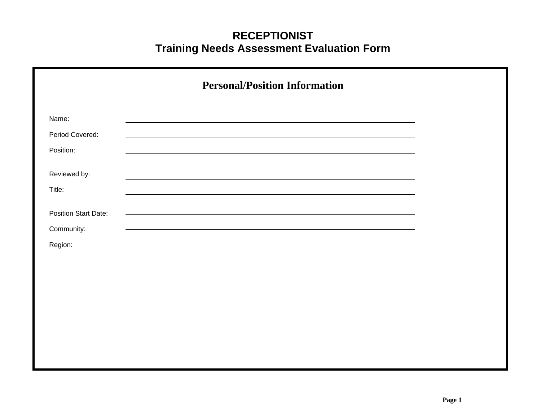|                                           | <b>Personal/Position Information</b> |  |
|-------------------------------------------|--------------------------------------|--|
| Name:<br>Period Covered:                  |                                      |  |
| Position:                                 |                                      |  |
| Reviewed by:<br>Title:                    |                                      |  |
| <b>Position Start Date:</b><br>Community: |                                      |  |
| Region:                                   |                                      |  |
|                                           |                                      |  |
|                                           |                                      |  |
|                                           |                                      |  |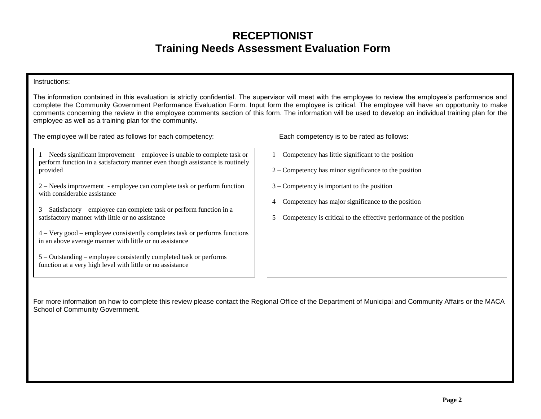#### Instructions:

The information contained in this evaluation is strictly confidential. The supervisor will meet with the employee to review the employee's performance and complete the Community Government Performance Evaluation Form. Input form the employee is critical. The employee will have an opportunity to make comments concerning the review in the employee comments section of this form. The information will be used to develop an individual training plan for the employee as well as a training plan for the community.

The employee will be rated as follows for each competency: Each competency is to be rated as follows:

| $1 -$ Needs significant improvement – employee is unable to complete task or  |  |
|-------------------------------------------------------------------------------|--|
| perform function in a satisfactory manner even though assistance is routinely |  |
| provided                                                                      |  |

2 –Needs improvement - employee can complete task or perform function with considerable assistance

3 –Satisfactory –employee can complete task or perform function in a satisfactory manner with little or no assistance

4 –Very good –employee consistently completes task or performs functions in an above average manner with little or no assistance

5 –Outstanding –employee consistently completed task or performs function at a very high level with little or no assistance

- 1 –Competency has little significant to the position
- 2 –Competency has minor significance to the position
- 3 –Competency is important to the position
- 4 –Competency has major significance to the position
- 5 –Competency is critical to the effective performance of the position

For more information on how to complete this review please contact the Regional Office of the Department of Municipal and Community Affairs or the MACA School of Community Government.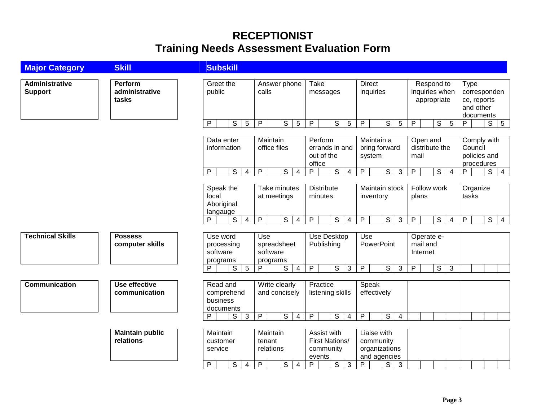| <b>Major Category</b>            | <b>Skill</b>                              | <b>Subskill</b>                                                                                                                                                                                                                                                                                                                                                                                                                                      |
|----------------------------------|-------------------------------------------|------------------------------------------------------------------------------------------------------------------------------------------------------------------------------------------------------------------------------------------------------------------------------------------------------------------------------------------------------------------------------------------------------------------------------------------------------|
| Administrative<br><b>Support</b> | <b>Perform</b><br>administrative<br>tasks | Greet the<br>Take<br><b>Direct</b><br>Answer phone<br>Respond to<br>Type<br>public<br>calls<br>inquiries<br>inquiries when<br>corresponden<br>messages<br>appropriate<br>ce, reports<br>and other                                                                                                                                                                                                                                                    |
|                                  |                                           | documents<br>$\overline{P}$<br>$S$ 5<br>$5\overline{)}$<br>P<br>$\overline{s}$<br>$\mathsf{P}$<br>$\mathsf S$<br>$5\phantom{.0}$<br>$\overline{P}$<br>$\mathsf{S}$<br>$\sqrt{5}$<br>$\overline{s}$<br>$\overline{P}$<br>$\overline{\mathbf{s}}$<br>5<br>$5\phantom{.0}$<br>P                                                                                                                                                                         |
|                                  |                                           | Data enter<br>Maintain<br>Perform<br>Maintain a<br>Comply with<br>Open and<br>distribute the<br>Council<br>information<br>office files<br>errands in and<br>bring forward<br>out of the<br>policies and<br>mail<br>system<br>office<br>procedures<br>$\overline{P}$<br>$\overline{s}$<br>P<br>$\overline{s}$<br>P<br>S<br>S<br>P<br>P<br>$\overline{S}$<br>P.<br>$\overline{s}$<br>3<br>$\overline{4}$<br>$\overline{4}$<br>4<br>$\overline{4}$<br>4 |
|                                  |                                           | <b>Distribute</b><br>Speak the<br>Take minutes<br>Maintain stock<br>Follow work<br>Organize<br>local<br>tasks<br>at meetings<br>minutes<br>inventory<br>plans<br>Aboriginal<br>langauge                                                                                                                                                                                                                                                              |
|                                  |                                           | S<br>$\mathsf{P}$<br>$\mathsf S$<br>$\mathsf{P}$<br>S<br>P<br>S<br>P<br>$\overline{s}$<br>P<br>$\overline{S}$<br>P<br>$\overline{4}$<br>$\overline{4}$<br>$\overline{\mathbf{4}}$<br>$\mathbf{3}$<br>$\overline{4}$<br>$\overline{4}$                                                                                                                                                                                                                |
| <b>Technical Skills</b>          | <b>Possess</b><br>computer skills         | Use<br>Use Desktop<br>Use<br>Use word<br>Operate e-<br>Publishing<br>mail and<br>spreadsheet<br><b>PowerPoint</b><br>processing<br>software<br>software<br>Internet<br>programs<br>programs                                                                                                                                                                                                                                                          |
|                                  |                                           | $\overline{s}$<br>5<br>$\mathsf S$<br>$\mathsf{P}$<br>S<br>$\sqrt{3}$<br>P<br>$\overline{s}$<br>$\overline{3}$<br>P<br>$\overline{s}$<br>3<br>P<br>$\overline{4}$<br>P                                                                                                                                                                                                                                                                               |
| <b>Communication</b>             | Use effective<br>communication            | Read and<br>Practice<br>Write clearly<br>Speak<br>effectively<br>comprehend<br>and concisely<br>listening skills<br>business<br>documents                                                                                                                                                                                                                                                                                                            |
|                                  |                                           | $\mathsf{P}$<br>$\mathbb S$<br>$\mathsf{P}$<br>S<br>$\mathsf{P}$<br>S<br>P<br>S<br>3<br>$\overline{4}$<br>$\overline{\mathbf{4}}$<br>4                                                                                                                                                                                                                                                                                                               |
|                                  | <b>Maintain public</b><br>relations       | Maintain<br>Maintain<br>Assist with<br>Liaise with<br><b>First Nations/</b><br>tenant<br>community<br>customer<br>organizations<br>relations<br>community<br>service<br>and agencies<br>events                                                                                                                                                                                                                                                       |
|                                  |                                           | $\overline{P}$<br>$\overline{3}$<br>$\overline{P}$<br>$\overline{s}$<br>P<br>$\overline{\mathsf{S}}$<br>$\overline{P}$<br>$\mathsf S$<br>S<br>$\mathbf{3}$<br>$\overline{4}$<br>4                                                                                                                                                                                                                                                                    |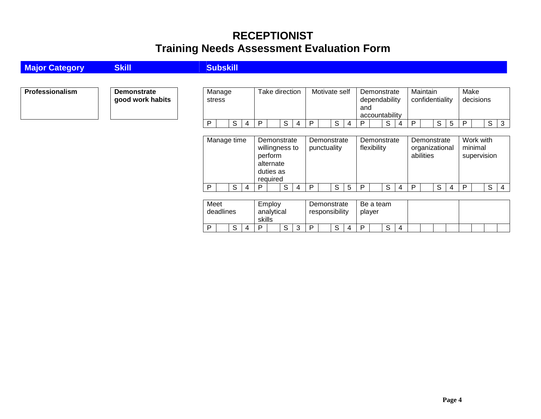| <b>Major Category</b> | <b>Skill</b>                           | <b>Subskill</b>                                                                                                                                                                                                                                |                 |
|-----------------------|----------------------------------------|------------------------------------------------------------------------------------------------------------------------------------------------------------------------------------------------------------------------------------------------|-----------------|
|                       |                                        |                                                                                                                                                                                                                                                |                 |
| Professionalism       | <b>Demonstrate</b><br>good work habits | Take direction<br>Motivate self<br>Maintain<br>Make<br>Manage<br>Demonstrate<br>decisions<br>confidentiality<br>dependability<br>stress<br>and<br>accountability                                                                               |                 |
|                       |                                        | S<br>S<br>S<br>S<br>S<br>S<br>P<br>P<br>P<br>P<br>P<br>P<br>5<br>-4<br>4<br>4<br>4                                                                                                                                                             | $\vert 3 \vert$ |
|                       |                                        | Work with<br>Manage time<br>Demonstrate<br>Demonstrate<br>Demonstrate<br>Demonstrate<br>minimal<br>willingness to<br>flexibility<br>organizational<br>punctuality<br>perform<br>abilities<br>supervision<br>alternate<br>duties as<br>required |                 |
|                       |                                        | S<br>S<br>S<br>S<br>S<br>P<br>P<br>P<br>S<br>P<br>P<br>P<br>5<br>4<br>4<br>4<br>4                                                                                                                                                              | $\overline{4}$  |
|                       |                                        | Meet<br>Employ<br>Be a team<br>Demonstrate<br>deadlines<br>analytical<br>responsibility<br>player<br>skills                                                                                                                                    |                 |
|                       |                                        | S<br>S<br>S<br>S<br>P<br>P<br>P<br>3<br>P<br>4<br>4<br>4                                                                                                                                                                                       |                 |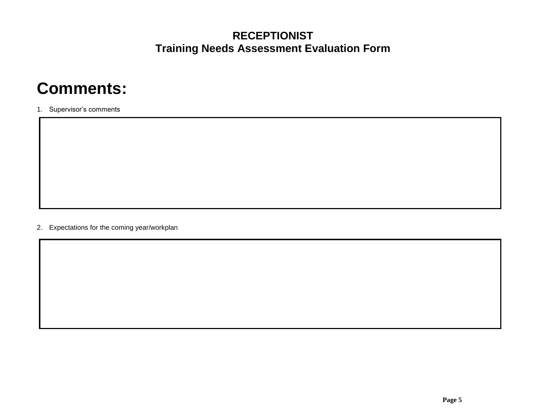# **Comments:**

1. Supervisor's comments

2. Expectations for the coming year/workplan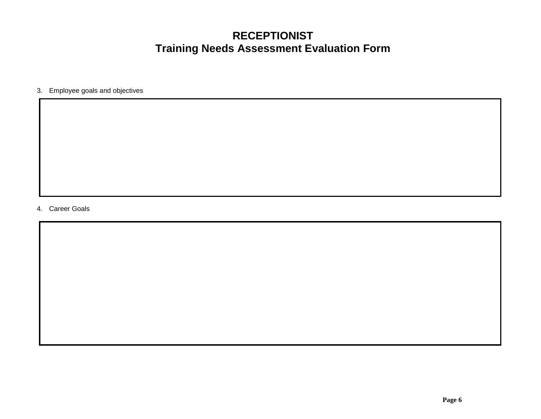3. Employee goals and objectives

4. Career Goals